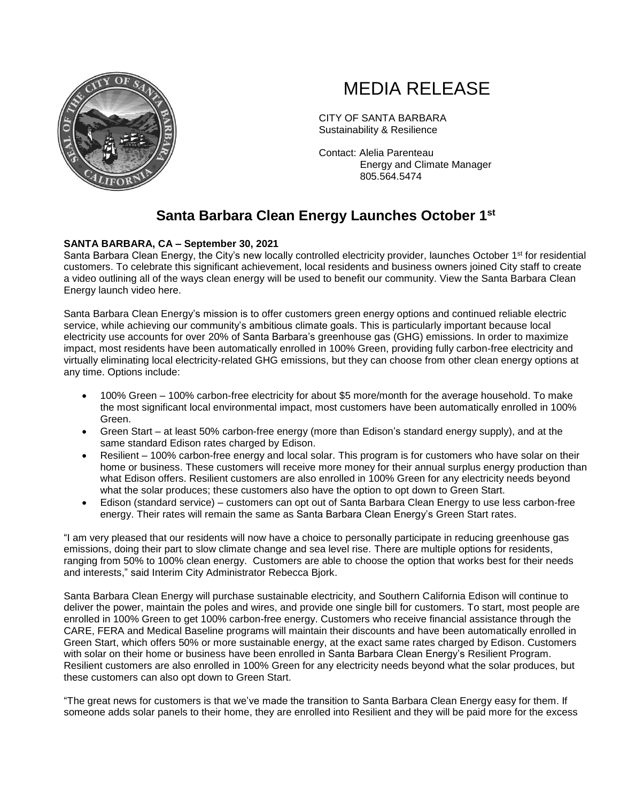

## MEDIA RELEASE

CITY OF SANTA BARBARA Sustainability & Resilience

Contact: Alelia Parenteau Energy and Climate Manager 805.564.5474

## **Santa Barbara Clean Energy Launches October 1st**

## **SANTA BARBARA, CA – September 30, 2021**

Santa Barbara Clean Energy, the City's new locally controlled electricity provider, launches October 1<sup>st</sup> for residential customers. To celebrate this significant achievement, local residents and business owners joined City staff to create a video outlining all of the ways clean energy will be used to benefit our community. View the Santa Barbara Clean Energy launch video here.

Santa Barbara Clean Energy's mission is to offer customers green energy options and continued reliable electric service, while achieving our community's ambitious climate goals. This is particularly important because local electricity use accounts for over 20% of Santa Barbara's greenhouse gas (GHG) emissions. In order to maximize impact, most residents have been automatically enrolled in 100% Green, providing fully carbon-free electricity and virtually eliminating local electricity-related GHG emissions, but they can choose from other clean energy options at any time. Options include:

- 100% Green 100% carbon-free electricity for about \$5 more/month for the average household. To make the most significant local environmental impact, most customers have been automatically enrolled in 100% Green.
- Green Start at least 50% carbon-free energy (more than Edison's standard energy supply), and at the same standard Edison rates charged by Edison.
- Resilient 100% carbon-free energy and local solar. This program is for customers who have solar on their home or business. These customers will receive more money for their annual surplus energy production than what Edison offers. Resilient customers are also enrolled in 100% Green for any electricity needs beyond what the solar produces; these customers also have the option to opt down to Green Start.
- Edison (standard service) customers can opt out of Santa Barbara Clean Energy to use less carbon-free energy. Their rates will remain the same as Santa Barbara Clean Energy's Green Start rates.

"I am very pleased that our residents will now have a choice to personally participate in reducing greenhouse gas emissions, doing their part to slow climate change and sea level rise. There are multiple options for residents, ranging from 50% to 100% clean energy. Customers are able to choose the option that works best for their needs and interests," said Interim City Administrator Rebecca Bjork.

Santa Barbara Clean Energy will purchase sustainable electricity, and Southern California Edison will continue to deliver the power, maintain the poles and wires, and provide one single bill for customers. To start, most people are enrolled in 100% Green to get 100% carbon-free energy. Customers who receive financial assistance through the CARE, FERA and Medical Baseline programs will maintain their discounts and have been automatically enrolled in Green Start, which offers 50% or more sustainable energy, at the exact same rates charged by Edison. Customers with solar on their home or business have been enrolled in Santa Barbara Clean Energy's Resilient Program. Resilient customers are also enrolled in 100% Green for any electricity needs beyond what the solar produces, but these customers can also opt down to Green Start.

"The great news for customers is that we've made the transition to Santa Barbara Clean Energy easy for them. If someone adds solar panels to their home, they are enrolled into Resilient and they will be paid more for the excess